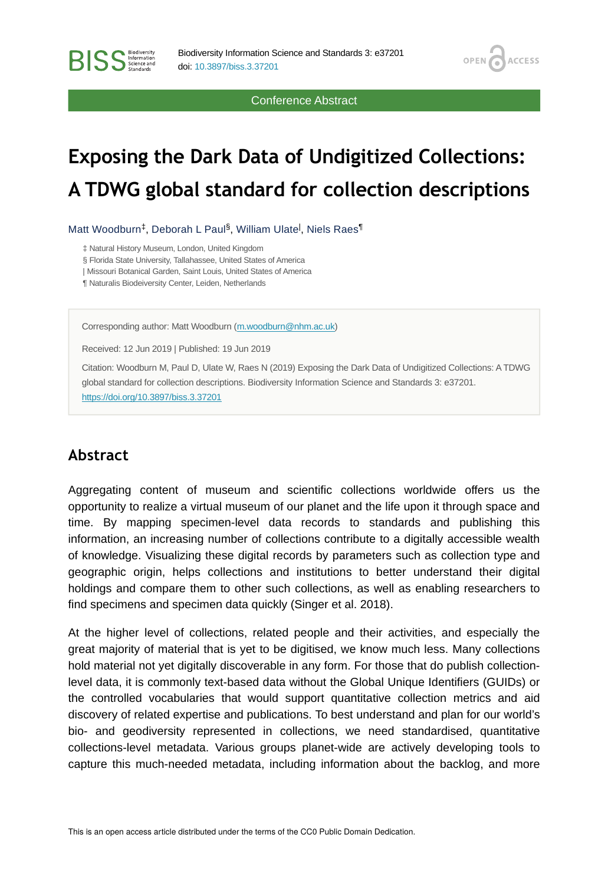Conference Abstract

OPEN /

**ACCESS** 

# **Exposing the Dark Data of Undigitized Collections: A TDWG global standard for collection descriptions**

Matt Woodburn<sup>‡</sup>, Deborah L Paul<sup>§</sup>, William Ulate<sup>l</sup>, Niels Raes<sup>¶</sup>

‡ Natural History Museum, London, United Kingdom

§ Florida State University, Tallahassee, United States of America

| Missouri Botanical Garden, Saint Louis, United States of America

¶ Naturalis Biodeiversity Center, Leiden, Netherlands

Corresponding author: Matt Woodburn [\(m.woodburn@nhm.ac.uk](mailto:m.woodburn@nhm.ac.uk))

Received: 12 Jun 2019 | Published: 19 Jun 2019

Citation: Woodburn M, Paul D, Ulate W, Raes N (2019) Exposing the Dark Data of Undigitized Collections: A TDWG global standard for collection descriptions. Biodiversity Information Science and Standards 3: e37201. <https://doi.org/10.3897/biss.3.37201>

#### **Abstract**

**BISS** Steence and

Aggregating content of museum and scientific collections worldwide offers us the opportunity to realize a virtual museum of our planet and the life upon it through space and time. By mapping specimen-level data records to standards and publishing this information, an increasing number of collections contribute to a digitally accessible wealth of knowledge. Visualizing these digital records by parameters such as collection type and geographic origin, helps collections and institutions to better understand their digital holdings and compare them to other such collections, as well as enabling researchers to find specimens and specimen data quickly (Singer et al. 2018).

At the higher level of collections, related people and their activities, and especially the great majority of material that is yet to be digitised, we know much less. Many collections hold material not yet digitally discoverable in any form. For those that do publish collectionlevel data, it is commonly text-based data without the Global Unique Identifiers (GUIDs) or the controlled vocabularies that would support quantitative collection metrics and aid discovery of related expertise and publications. To best understand and plan for our world's bio- and geodiversity represented in collections, we need standardised, quantitative collections-level metadata. Various groups planet-wide are actively developing tools to capture this much-needed metadata, including information about the backlog, and more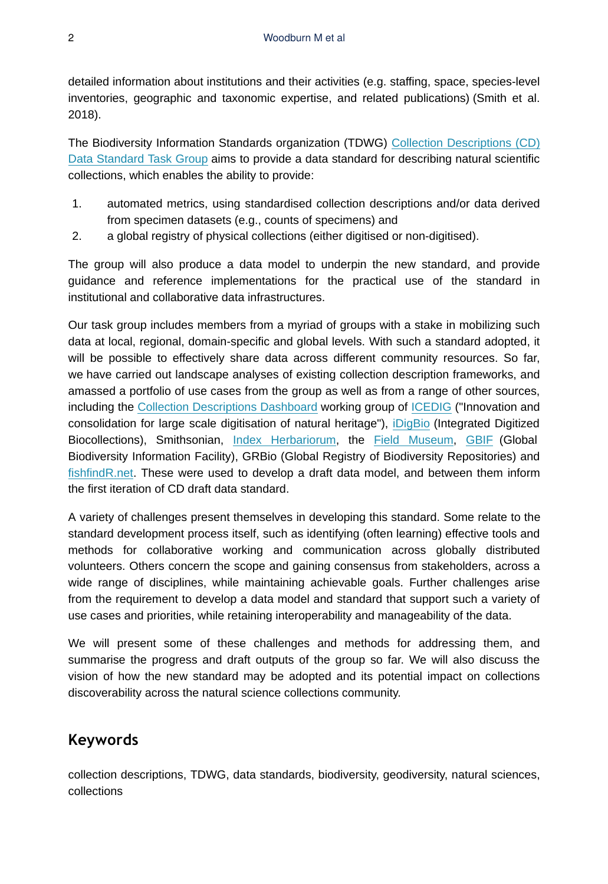detailed information about institutions and their activities (e.g. staffing, space, species-level inventories, geographic and taxonomic expertise, and related publications) (Smith et al. 2018).

The Biodiversity Information Standards organization (TDWG) [Collection Descriptions \(CD\)](https://github.com/tdwg/cd) [Data Standard Task Group](https://github.com/tdwg/cd) aims to provide a data standard for describing natural scientific collections, which enables the ability to provide:

- 1. automated metrics, using standardised collection descriptions and/or data derived from specimen datasets (e.g., counts of specimens) and
- 2. a global registry of physical collections (either digitised or non-digitised).

The group will also produce a data model to underpin the new standard, and provide guidance and reference implementations for the practical use of the standard in institutional and collaborative data infrastructures.

Our task group includes members from a myriad of groups with a stake in mobilizing such data at local, regional, domain-specific and global levels. With such a standard adopted, it will be possible to effectively share data across different community resources. So far, we have carried out landscape analyses of existing collection description frameworks, and amassed a portfolio of use cases from the group as well as from a range of other sources, including the [Collection Descriptions Dashboard](https://drive.google.com/file/d/1RLNwHuZn0xLZuLWTrJaKiQn8IjQXwbCE/view) working group of [ICEDIG](https://icedig.eu/) ("Innovation and consolidation for large scale digitisation of natural heritage"), [iDigBio](https://www.idigbio.org/) (Integrated Digitized Biocollections), Smithsonian, [Index Herbariorum](http://sweetgum.nybg.org/science/ih/), the [Field Museum,](https://www.fieldmuseum.org/) [GBIF](https://www.gbif.org/) (Global Biodiversity Information Facility), GRBio (Global Registry of Biodiversity Repositories) and [fishfindR.net](http://fishfindr.net/). These were used to develop a draft data model, and between them inform the first iteration of CD draft data standard.

A variety of challenges present themselves in developing this standard. Some relate to the standard development process itself, such as identifying (often learning) effective tools and methods for collaborative working and communication across globally distributed volunteers. Others concern the scope and gaining consensus from stakeholders, across a wide range of disciplines, while maintaining achievable goals. Further challenges arise from the requirement to develop a data model and standard that support such a variety of use cases and priorities, while retaining interoperability and manageability of the data.

We will present some of these challenges and methods for addressing them, and summarise the progress and draft outputs of the group so far. We will also discuss the vision of how the new standard may be adopted and its potential impact on collections discoverability across the natural science collections community.

## **Keywords**

collection descriptions, TDWG, data standards, biodiversity, geodiversity, natural sciences, collections